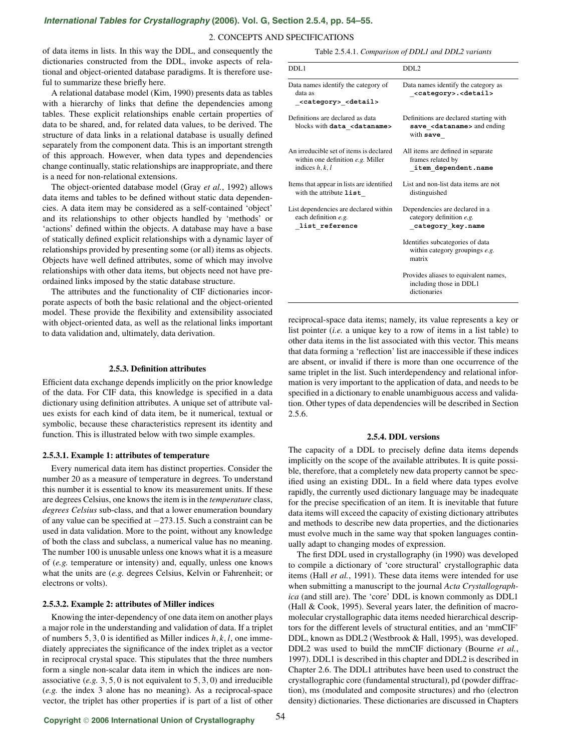# *[International Tables for Crystallography](http://it.iucr.org/Ga/ch2o5v0001/sec2o5o4/)* **(2006). Vol. G, Section 2.5.4, pp. 54–55.**

### 2. CONCEPTS AND SPECIFICATIONS

of data items in lists. In this way the DDL, and consequently the dictionaries constructed from the DDL, invoke aspects of relational and object-oriented database paradigms. It is therefore useful to summarize these briefly here.

A relational database model (Kim, 1990) presents data as tables with a hierarchy of links that define the dependencies among tables. These explicit relationships enable certain properties of data to be shared, and, for related data values, to be derived. The structure of data links in a relational database is usually defined separately from the component data. This is an important strength of this approach. However, when data types and dependencies change continually, static relationships are inappropriate, and there is a need for non-relational extensions.

The object-oriented database model (Gray *et al.*, 1992) allows data items and tables to be defined without static data dependencies. A data item may be considered as a self-contained 'object' and its relationships to other objects handled by 'methods' or 'actions' defined within the objects. A database may have a base of statically defined explicit relationships with a dynamic layer of relationships provided by presenting some (or all) items as objects. Objects have well defined attributes, some of which may involve relationships with other data items, but objects need not have preordained links imposed by the static database structure.

The attributes and the functionality of CIF dictionaries incorporate aspects of both the basic relational and the object-oriented model. These provide the flexibility and extensibility associated with object-oriented data, as well as the relational links important to data validation and, ultimately, data derivation.

## **2.5.3. Definition attributes**

Efficient data exchange depends implicitly on the prior knowledge of the data. For CIF data, this knowledge is specified in a data dictionary using definition attributes. A unique set of attribute values exists for each kind of data item, be it numerical, textual or symbolic, because these characteristics represent its identity and function. This is illustrated below with two simple examples.

#### **2.5.3.1. Example 1: attributes of temperature**

Every numerical data item has distinct properties. Consider the number 20 as a measure of temperature in degrees. To understand this number it is essential to know its measurement units. If these are degrees Celsius, one knows the item is in the *temperature* class, *degrees Celsius* sub-class, and that a lower enumeration boundary of any value can be specified at −273.15. Such a constraint can be used in data validation. More to the point, without any knowledge of both the class and subclass, a numerical value has no meaning. The number 100 is unusable unless one knows what it is a measure of (*e.g.* temperature or intensity) and, equally, unless one knows what the units are (*e.g.* degrees Celsius, Kelvin or Fahrenheit; or electrons or volts).

## **2.5.3.2. Example 2: attributes of Miller indices**

Knowing the inter-dependency of one data item on another plays a major role in the understanding and validation of data. If a triplet of numbers 5, 3, 0 is identified as Miller indices *h*, *k*, *l*, one immediately appreciates the significance of the index triplet as a vector in reciprocal crystal space. This stipulates that the three numbers form a single non-scalar data item in which the indices are nonassociative (*e.g.* 3, 5, 0 is not equivalent to 5, 3, 0) and irreducible (*e.g.* the index 3 alone has no meaning). As a reciprocal-space vector, the triplet has other properties if is part of a list of other

Table 2.5.4.1. *Comparison of DDL1 and DDL2 variants*

| DDL1                                                                                                | DDL <sub>2</sub>                                                                                     |
|-----------------------------------------------------------------------------------------------------|------------------------------------------------------------------------------------------------------|
| Data names identify the category of<br>data as<br><category> <detail></detail></category>           | Data names identify the category as<br><category>.<detail></detail></category>                       |
| Definitions are declared as data<br>blocks with data <dataname></dataname>                          | Definitions are declared starting with<br>save <dataname> and ending<br/>with <b>save</b></dataname> |
| An irreducible set of items is declared<br>within one definition $e.g.$ Miller<br>indices $h, k, l$ | All items are defined in separate<br>frames related by<br>item dependent.name                        |
| Items that appear in lists are identified<br>with the attribute $list$                              | List and non-list data items are not<br>distinguished                                                |
| List dependencies are declared within<br>each definition e.g.<br>list reference                     | Dependencies are declared in a<br>category definition e.g.<br>category key.name                      |
|                                                                                                     | Identifies subcategories of data<br>within category groupings e.g.<br>matrix                         |
|                                                                                                     | Provides aliases to equivalent names,<br>including those in DDL1<br>dictionaries                     |

reciprocal-space data items; namely, its value represents a key or list pointer (*i.e.* a unique key to a row of items in a list table) to other data items in the list associated with this vector. This means that data forming a 'reflection' list are inaccessible if these indices are absent, or invalid if there is more than one occurrence of the same triplet in the list. Such interdependency and relational information is very important to the application of data, and needs to be specified in a dictionary to enable unambiguous access and validation. Other types of data dependencies will be described in Section 2.5.6.

#### **2.5.4. DDL versions**

The capacity of a DDL to precisely define data items depends implicitly on the scope of the available attributes. It is quite possible, therefore, that a completely new data property cannot be specified using an existing DDL. In a field where data types evolve rapidly, the currently used dictionary language may be inadequate for the precise specification of an item. It is inevitable that future data items will exceed the capacity of existing dictionary attributes and methods to describe new data properties, and the dictionaries must evolve much in the same way that spoken languages continually adapt to changing modes of expression.

The first DDL used in crystallography (in 1990) was developed to compile a dictionary of 'core structural' crystallographic data items (Hall *et al.*, 1991). These data items were intended for use when submitting a manuscript to the journal *Acta Crystallographica* (and still are). The 'core' DDL is known commonly as DDL1 (Hall & Cook, 1995). Several years later, the definition of macromolecular crystallographic data items needed hierarchical descriptors for the different levels of structural entities, and an 'mmCIF' DDL, known as DDL2 (Westbrook & Hall, 1995), was developed. DDL2 was used to build the mmCIF dictionary (Bourne *et al.*, 1997). DDL1 is described in this chapter and DDL2 is described in Chapter 2.6. The DDL1 attributes have been used to construct the crystallographic core (fundamental structural), pd (powder diffraction), ms (modulated and composite structures) and rho (electron density) dictionaries. These dictionaries are discussed in Chapters